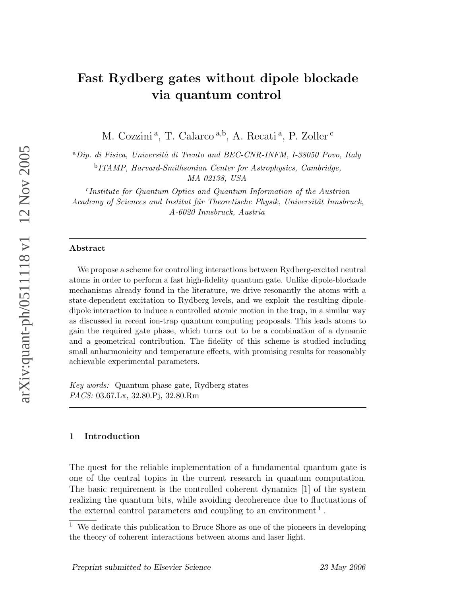# Fast Rydberg gates without dipole blockade via quantum control

M. Cozzini<sup>a</sup>, T. Calarco<sup>a,b</sup>, A. Recati<sup>a</sup>, P. Zoller<sup>c</sup>

 ${}^a$ Dip. di Fisica, Università di Trento and BEC-CNR-INFM, I-38050 Povo, Italy

b ITAMP, Harvard-Smithsonian Center for Astrophysics, Cambridge, MA 02138, USA

c Institute for Quantum Optics and Quantum Information of the Austrian Academy of Sciences and Institut für Theoretische Physik, Universität Innsbruck, A-6020 Innsbruck, Austria

#### Abstract

We propose a scheme for controlling interactions between Rydberg-excited neutral atoms in order to perform a fast high-fidelity quantum gate. Unlike dipole-blockade mechanisms already found in the literature, we drive resonantly the atoms with a state-dependent excitation to Rydberg levels, and we exploit the resulting dipoledipole interaction to induce a controlled atomic motion in the trap, in a similar way as discussed in recent ion-trap quantum computing proposals. This leads atoms to gain the required gate phase, which turns out to be a combination of a dynamic and a geometrical contribution. The fidelity of this scheme is studied including small anharmonicity and temperature effects, with promising results for reasonably achievable experimental parameters.

Key words: Quantum phase gate, Rydberg states PACS: 03.67.Lx, 32.80.Pj, 32.80.Rm

# 1 Introduction

The quest for the reliable implementation of a fundamental quantum gate is one of the central topics in the current research in quantum computation. The basic requirement is the controlled coherent dynamics [1] of the system realizing the quantum bits, while avoiding decoherence due to fluctuations of the external control parameters and coupling to an environment<sup>1</sup>.

 $\overline{1}$  We dedicate this publication to Bruce Shore as one of the pioneers in developing the theory of coherent interactions between atoms and laser light.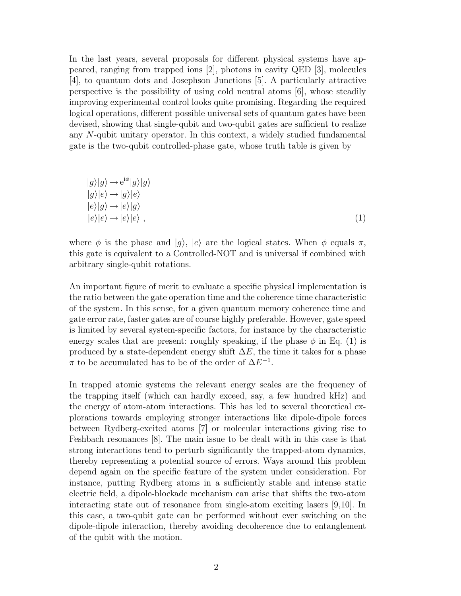In the last years, several proposals for different physical systems have appeared, ranging from trapped ions [2], photons in cavity QED [3], molecules [4], to quantum dots and Josephson Junctions [5]. A particularly attractive perspective is the possibility of using cold neutral atoms [6], whose steadily improving experimental control looks quite promising. Regarding the required logical operations, different possible universal sets of quantum gates have been devised, showing that single-qubit and two-qubit gates are sufficient to realize any N-qubit unitary operator. In this context, a widely studied fundamental gate is the two-qubit controlled-phase gate, whose truth table is given by

$$
|g\rangle|g\rangle \rightarrow e^{i\phi}|g\rangle|g\rangle
$$
  
\n
$$
|g\rangle|e\rangle \rightarrow |g\rangle|e\rangle
$$
  
\n
$$
|e\rangle|g\rangle \rightarrow |e\rangle|g\rangle
$$
  
\n
$$
|e\rangle|e\rangle \rightarrow |e\rangle|e\rangle ,
$$
  
\n(1)

where  $\phi$  is the phase and  $|g\rangle$ ,  $|e\rangle$  are the logical states. When  $\phi$  equals  $\pi$ , this gate is equivalent to a Controlled-NOT and is universal if combined with arbitrary single-qubit rotations.

An important figure of merit to evaluate a specific physical implementation is the ratio between the gate operation time and the coherence time characteristic of the system. In this sense, for a given quantum memory coherence time and gate error rate, faster gates are of course highly preferable. However, gate speed is limited by several system-specific factors, for instance by the characteristic energy scales that are present: roughly speaking, if the phase  $\phi$  in Eq. (1) is produced by a state-dependent energy shift  $\Delta E$ , the time it takes for a phase  $\pi$  to be accumulated has to be of the order of  $\Delta E^{-1}$ .

In trapped atomic systems the relevant energy scales are the frequency of the trapping itself (which can hardly exceed, say, a few hundred kHz) and the energy of atom-atom interactions. This has led to several theoretical explorations towards employing stronger interactions like dipole-dipole forces between Rydberg-excited atoms [7] or molecular interactions giving rise to Feshbach resonances [8]. The main issue to be dealt with in this case is that strong interactions tend to perturb significantly the trapped-atom dynamics, thereby representing a potential source of errors. Ways around this problem depend again on the specific feature of the system under consideration. For instance, putting Rydberg atoms in a sufficiently stable and intense static electric field, a dipole-blockade mechanism can arise that shifts the two-atom interacting state out of resonance from single-atom exciting lasers [9,10]. In this case, a two-qubit gate can be performed without ever switching on the dipole-dipole interaction, thereby avoiding decoherence due to entanglement of the qubit with the motion.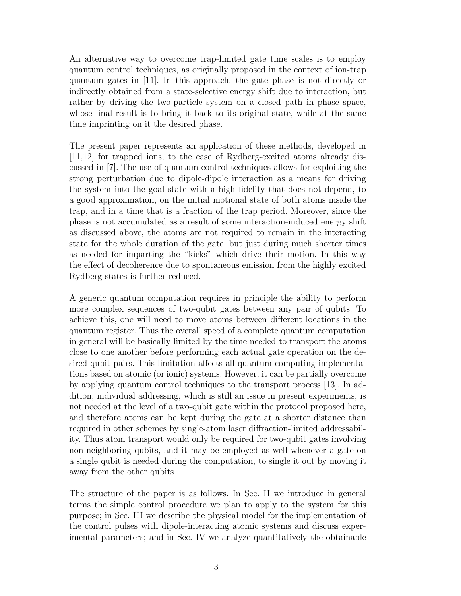An alternative way to overcome trap-limited gate time scales is to employ quantum control techniques, as originally proposed in the context of ion-trap quantum gates in [11]. In this approach, the gate phase is not directly or indirectly obtained from a state-selective energy shift due to interaction, but rather by driving the two-particle system on a closed path in phase space, whose final result is to bring it back to its original state, while at the same time imprinting on it the desired phase.

The present paper represents an application of these methods, developed in [11,12] for trapped ions, to the case of Rydberg-excited atoms already discussed in [7]. The use of quantum control techniques allows for exploiting the strong perturbation due to dipole-dipole interaction as a means for driving the system into the goal state with a high fidelity that does not depend, to a good approximation, on the initial motional state of both atoms inside the trap, and in a time that is a fraction of the trap period. Moreover, since the phase is not accumulated as a result of some interaction-induced energy shift as discussed above, the atoms are not required to remain in the interacting state for the whole duration of the gate, but just during much shorter times as needed for imparting the "kicks" which drive their motion. In this way the effect of decoherence due to spontaneous emission from the highly excited Rydberg states is further reduced.

A generic quantum computation requires in principle the ability to perform more complex sequences of two-qubit gates between any pair of qubits. To achieve this, one will need to move atoms between different locations in the quantum register. Thus the overall speed of a complete quantum computation in general will be basically limited by the time needed to transport the atoms close to one another before performing each actual gate operation on the desired qubit pairs. This limitation affects all quantum computing implementations based on atomic (or ionic) systems. However, it can be partially overcome by applying quantum control techniques to the transport process [13]. In addition, individual addressing, which is still an issue in present experiments, is not needed at the level of a two-qubit gate within the protocol proposed here, and therefore atoms can be kept during the gate at a shorter distance than required in other schemes by single-atom laser diffraction-limited addressability. Thus atom transport would only be required for two-qubit gates involving non-neighboring qubits, and it may be employed as well whenever a gate on a single qubit is needed during the computation, to single it out by moving it away from the other qubits.

The structure of the paper is as follows. In Sec. II we introduce in general terms the simple control procedure we plan to apply to the system for this purpose; in Sec. III we describe the physical model for the implementation of the control pulses with dipole-interacting atomic systems and discuss experimental parameters; and in Sec. IV we analyze quantitatively the obtainable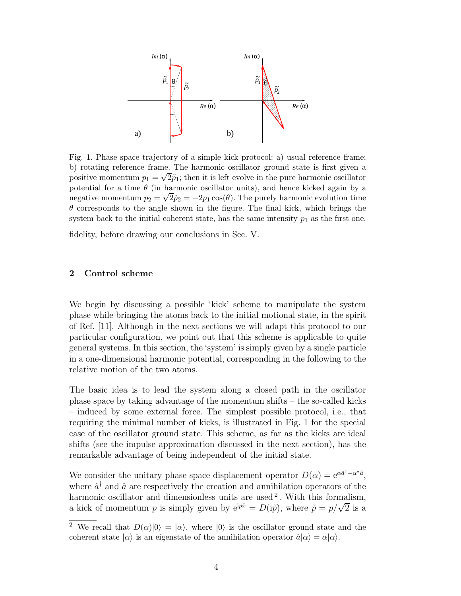

Fig. 1. Phase space trajectory of a simple kick protocol: a) usual reference frame; b) rotating reference frame. The harmonic oscillator ground state is first given a positive momentum  $p_1 = \sqrt{2}\tilde{p}_1$ ; then it is left evolve in the pure harmonic oscillator potential for a time  $\theta$  (in harmonic oscillator units), and hence kicked again by a negative momentum  $p_2 = \sqrt{2}\tilde{p}_2 = -2p_1 \cos(\theta)$ . The purely harmonic evolution time  $\theta$  corresponds to the angle shown in the figure. The final kick, which brings the system back to the initial coherent state, has the same intensity  $p_1$  as the first one.

fidelity, before drawing our conclusions in Sec. V.

# 2 Control scheme

We begin by discussing a possible 'kick' scheme to manipulate the system phase while bringing the atoms back to the initial motional state, in the spirit of Ref. [11]. Although in the next sections we will adapt this protocol to our particular configuration, we point out that this scheme is applicable to quite general systems. In this section, the 'system' is simply given by a single particle in a one-dimensional harmonic potential, corresponding in the following to the relative motion of the two atoms.

The basic idea is to lead the system along a closed path in the oscillator phase space by taking advantage of the momentum shifts – the so-called kicks – induced by some external force. The simplest possible protocol, i.e., that requiring the minimal number of kicks, is illustrated in Fig. 1 for the special case of the oscillator ground state. This scheme, as far as the kicks are ideal shifts (see the impulse approximation discussed in the next section), has the remarkable advantage of being independent of the initial state.

We consider the unitary phase space displacement operator  $D(\alpha) = e^{\alpha \hat{a}^{\dagger} - \alpha^* \hat{a}}$ , where  $\hat{a}^{\dagger}$  and  $\hat{a}$  are respectively the creation and annihilation operators of the harmonic oscillator and dimensionless units are used<sup>2</sup>. With this formalism, a kick of momentum p is simply given by  $e^{ip\hat{x}} = D(i\tilde{p})$ , where  $\tilde{p} = p/\sqrt{2}$  is a

<sup>&</sup>lt;sup>2</sup> We recall that  $D(\alpha)|0\rangle = |\alpha\rangle$ , where  $|0\rangle$  is the oscillator ground state and the coherent state  $|\alpha\rangle$  is an eigenstate of the annihilation operator  $\hat{a}|\alpha\rangle = \alpha|\alpha\rangle$ .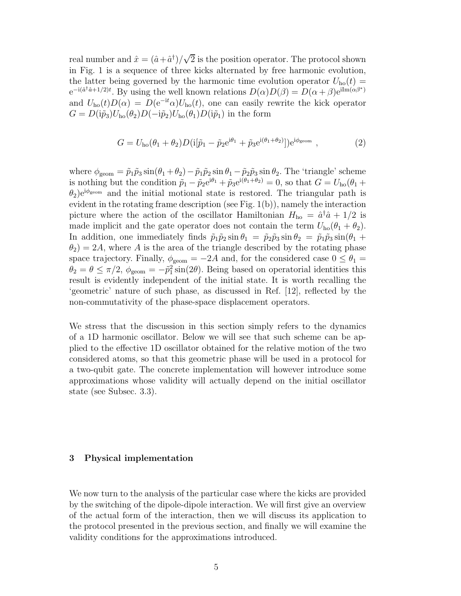real number and  $\hat{x} = (\hat{a} + \hat{a}^{\dagger})/\sqrt{2}$  is the position operator. The protocol shown in Fig. 1 is a sequence of three kicks alternated by free harmonic evolution, the latter being governed by the harmonic time evolution operator  $U_{\text{ho}}(t) =$  $e^{-i(\hat{a}^{\dagger}\hat{a}+1/2)t}$ . By using the well known relations  $D(\alpha)D(\beta) = D(\alpha+\beta)e^{i\text{Im}(\alpha\beta^*)t}$ and  $U_{\text{ho}}(t)D(\alpha) = D(e^{-it}\alpha)U_{\text{ho}}(t)$ , one can easily rewrite the kick operator  $G = D(i\tilde{p}_3)U_{\text{ho}}(\theta_2)D(-i\tilde{p}_2)U_{\text{ho}}(\theta_1)D(i\tilde{p}_1)$  in the form

$$
G = U_{\text{ho}}(\theta_1 + \theta_2)D(i[\tilde{p}_1 - \tilde{p}_2 e^{i\theta_1} + \tilde{p}_3 e^{i(\theta_1 + \theta_2)}])e^{i\phi_{\text{geom}}},
$$
 (2)

where  $\phi_{\text{geom}} = \tilde{p}_1 \tilde{p}_3 \sin(\theta_1 + \theta_2) - \tilde{p}_1 \tilde{p}_2 \sin \theta_1 - \tilde{p}_2 \tilde{p}_3 \sin \theta_2$ . The 'triangle' scheme is nothing but the condition  $\tilde{p}_1 - \tilde{p}_2 e^{i\theta_1} + \tilde{p}_3 e^{i(\theta_1 + \theta_2)} = 0$ , so that  $G = U_{ho}(\theta_1 + \theta_2)$  $\theta_2$ ) $e^{i\phi_{\text{geom}}}$  and the initial motional state is restored. The triangular path is evident in the rotating frame description (see Fig. 1(b)), namely the interaction picture where the action of the oscillator Hamiltonian  $H_{\text{ho}} = \hat{a}^{\dagger} \hat{a} + 1/2$  is made implicit and the gate operator does not contain the term  $U_{\text{ho}}(\theta_1 + \theta_2)$ . In addition, one immediately finds  $\tilde{p}_1 \tilde{p}_2 \sin \theta_1 = \tilde{p}_2 \tilde{p}_3 \sin \theta_2 = \tilde{p}_1 \tilde{p}_3 \sin(\theta_1 + \theta_2)$  $\theta_2$ ) = 2A, where A is the area of the triangle described by the rotating phase space trajectory. Finally,  $\phi_{\text{geom}} = -2A$  and, for the considered case  $0 \leq \theta_1 =$  $\theta_2 = \theta \le \pi/2$ ,  $\phi_{\text{geom}} = -\tilde{p}_1^2 \sin(2\theta)$ . Being based on operatorial identities this result is evidently independent of the initial state. It is worth recalling the 'geometric' nature of such phase, as discussed in Ref. [12], reflected by the non-commutativity of the phase-space displacement operators.

We stress that the discussion in this section simply refers to the dynamics of a 1D harmonic oscillator. Below we will see that such scheme can be applied to the effective 1D oscillator obtained for the relative motion of the two considered atoms, so that this geometric phase will be used in a protocol for a two-qubit gate. The concrete implementation will however introduce some approximations whose validity will actually depend on the initial oscillator state (see Subsec. 3.3).

## 3 Physical implementation

We now turn to the analysis of the particular case where the kicks are provided by the switching of the dipole-dipole interaction. We will first give an overview of the actual form of the interaction, then we will discuss its application to the protocol presented in the previous section, and finally we will examine the validity conditions for the approximations introduced.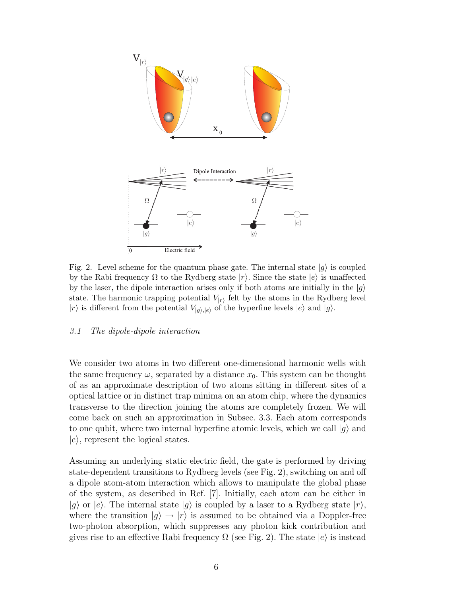

Fig. 2. Level scheme for the quantum phase gate. The internal state  $|g\rangle$  is coupled by the Rabi frequency  $\Omega$  to the Rydberg state  $|r\rangle$ . Since the state  $|e\rangle$  is unaffected by the laser, the dipole interaction arises only if both atoms are initially in the  $|g\rangle$ state. The harmonic trapping potential  $V_{|r\rangle}$  felt by the atoms in the Rydberg level  $|r\rangle$  is different from the potential  $V_{|g\rangle,|e\rangle}$  of the hyperfine levels  $|e\rangle$  and  $|g\rangle$ .

#### 3.1 The dipole-dipole interaction

We consider two atoms in two different one-dimensional harmonic wells with the same frequency  $\omega$ , separated by a distance  $x_0$ . This system can be thought of as an approximate description of two atoms sitting in different sites of a optical lattice or in distinct trap minima on an atom chip, where the dynamics transverse to the direction joining the atoms are completely frozen. We will come back on such an approximation in Subsec. 3.3. Each atom corresponds to one qubit, where two internal hyperfine atomic levels, which we call  $|q\rangle$  and  $|e\rangle$ , represent the logical states.

Assuming an underlying static electric field, the gate is performed by driving state-dependent transitions to Rydberg levels (see Fig. 2), switching on and off a dipole atom-atom interaction which allows to manipulate the global phase of the system, as described in Ref. [7]. Initially, each atom can be either in  $|g\rangle$  or  $|e\rangle$ . The internal state  $|g\rangle$  is coupled by a laser to a Rydberg state  $|r\rangle$ , where the transition  $|g\rangle \rightarrow |r\rangle$  is assumed to be obtained via a Doppler-free two-photon absorption, which suppresses any photon kick contribution and gives rise to an effective Rabi frequency  $\Omega$  (see Fig. 2). The state  $|e\rangle$  is instead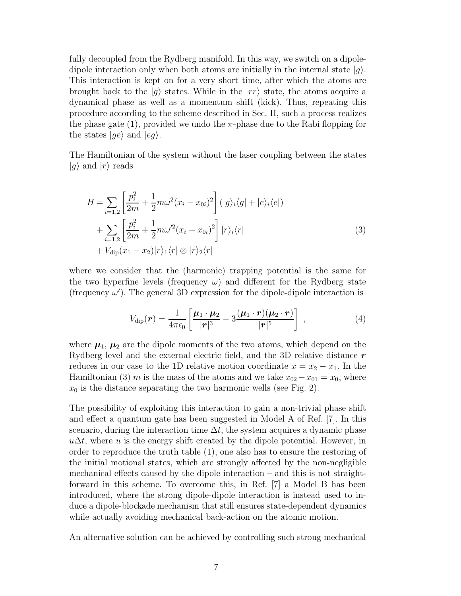fully decoupled from the Rydberg manifold. In this way, we switch on a dipoledipole interaction only when both atoms are initially in the internal state  $|g\rangle$ . This interaction is kept on for a very short time, after which the atoms are brought back to the  $|q\rangle$  states. While in the  $|r\rangle$  state, the atoms acquire a dynamical phase as well as a momentum shift (kick). Thus, repeating this procedure according to the scheme described in Sec. II, such a process realizes the phase gate (1), provided we undo the  $\pi$ -phase due to the Rabi flopping for the states  $|ge\rangle$  and  $|eg\rangle$ .

The Hamiltonian of the system without the laser coupling between the states  $|g\rangle$  and  $|r\rangle$  reads

$$
H = \sum_{i=1,2} \left[ \frac{p_i^2}{2m} + \frac{1}{2} m \omega^2 (x_i - x_{0i})^2 \right] (|g\rangle_i \langle g| + |e\rangle_i \langle e|)
$$
  
+ 
$$
\sum_{i=1,2} \left[ \frac{p_i^2}{2m} + \frac{1}{2} m \omega'^2 (x_i - x_{0i})^2 \right] |r\rangle_i \langle r|
$$
  
+ 
$$
V_{\text{dip}}(x_1 - x_2) |r\rangle_1 \langle r| \otimes |r\rangle_2 \langle r|
$$
 (3)

where we consider that the (harmonic) trapping potential is the same for the two hyperfine levels (frequency  $\omega$ ) and different for the Rydberg state (frequency  $\omega'$ ). The general 3D expression for the dipole-dipole interaction is

$$
V_{\rm dip}(\boldsymbol{r}) = \frac{1}{4\pi\epsilon_0} \left[ \frac{\boldsymbol{\mu}_1 \cdot \boldsymbol{\mu}_2}{|\boldsymbol{r}|^3} - 3 \frac{(\boldsymbol{\mu}_1 \cdot \boldsymbol{r})(\boldsymbol{\mu}_2 \cdot \boldsymbol{r})}{|\boldsymbol{r}|^5} \right] , \qquad (4)
$$

where  $\mu_1$ ,  $\mu_2$  are the dipole moments of the two atoms, which depend on the Rydberg level and the external electric field, and the 3D relative distance  $r$ reduces in our case to the 1D relative motion coordinate  $x = x_2 - x_1$ . In the Hamiltonian (3) m is the mass of the atoms and we take  $x_{02} - x_{01} = x_0$ , where  $x_0$  is the distance separating the two harmonic wells (see Fig. 2).

The possibility of exploiting this interaction to gain a non-trivial phase shift and effect a quantum gate has been suggested in Model A of Ref. [7]. In this scenario, during the interaction time  $\Delta t$ , the system acquires a dynamic phase  $u\Delta t$ , where u is the energy shift created by the dipole potential. However, in order to reproduce the truth table (1), one also has to ensure the restoring of the initial motional states, which are strongly affected by the non-negligible mechanical effects caused by the dipole interaction – and this is not straightforward in this scheme. To overcome this, in Ref. [7] a Model B has been introduced, where the strong dipole-dipole interaction is instead used to induce a dipole-blockade mechanism that still ensures state-dependent dynamics while actually avoiding mechanical back-action on the atomic motion.

An alternative solution can be achieved by controlling such strong mechanical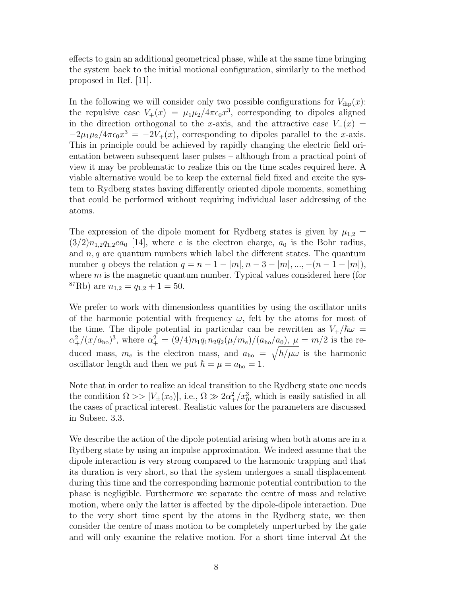effects to gain an additional geometrical phase, while at the same time bringing the system back to the initial motional configuration, similarly to the method proposed in Ref. [11].

In the following we will consider only two possible configurations for  $V_{\text{dip}}(x)$ : the repulsive case  $V_+(x) = \mu_1 \mu_2 / 4\pi \epsilon_0 x^3$ , corresponding to dipoles aligned in the direction orthogonal to the x-axis, and the attractive case  $V_-(x)$  =  $-2\mu_1\mu_2/4\pi\epsilon_0x^3 = -2V_+(x)$ , corresponding to dipoles parallel to the x-axis. This in principle could be achieved by rapidly changing the electric field orientation between subsequent laser pulses – although from a practical point of view it may be problematic to realize this on the time scales required here. A viable alternative would be to keep the external field fixed and excite the system to Rydberg states having differently oriented dipole moments, something that could be performed without requiring individual laser addressing of the atoms.

The expression of the dipole moment for Rydberg states is given by  $\mu_{1,2} =$  $(3/2)n_{1,2}q_{1,2}ea_0$  [14], where e is the electron charge,  $a_0$  is the Bohr radius, and  $n, q$  are quantum numbers which label the different states. The quantum number q obeys the relation  $q = n - 1 - |m|, n - 3 - |m|, ..., -(n - 1 - |m|)$ , where  $m$  is the magnetic quantum number. Typical values considered here (for  $^{87}$ Rb) are  $n_{1,2} = q_{1,2} + 1 = 50$ .

We prefer to work with dimensionless quantities by using the oscillator units of the harmonic potential with frequency  $\omega$ , felt by the atoms for most of the time. The dipole potential in particular can be rewritten as  $V_+/\hbar\omega =$  $\alpha_+^2/(x/a_{\text{ho}})^3$ , where  $\alpha_+^2 = (9/4)n_1q_1n_2q_2(\mu/m_e)/(a_{\text{ho}}/a_0)$ ,  $\mu = m/2$  is the reduced mass,  $m_e$  is the electron mass, and  $a_{\text{ho}} = \sqrt{\hbar/\mu\omega}$  is the harmonic oscillator length and then we put  $\hbar = \mu = a_{\text{ho}} = 1$ .

Note that in order to realize an ideal transition to the Rydberg state one needs the condition  $\Omega >> |V_{\pm}(x_0)|$ , i.e.,  $\Omega \gg 2\alpha_{+}^{2}/x_0^3$ , which is easily satisfied in all the cases of practical interest. Realistic values for the parameters are discussed in Subsec. 3.3.

We describe the action of the dipole potential arising when both atoms are in a Rydberg state by using an impulse approximation. We indeed assume that the dipole interaction is very strong compared to the harmonic trapping and that its duration is very short, so that the system undergoes a small displacement during this time and the corresponding harmonic potential contribution to the phase is negligible. Furthermore we separate the centre of mass and relative motion, where only the latter is affected by the dipole-dipole interaction. Due to the very short time spent by the atoms in the Rydberg state, we then consider the centre of mass motion to be completely unperturbed by the gate and will only examine the relative motion. For a short time interval  $\Delta t$  the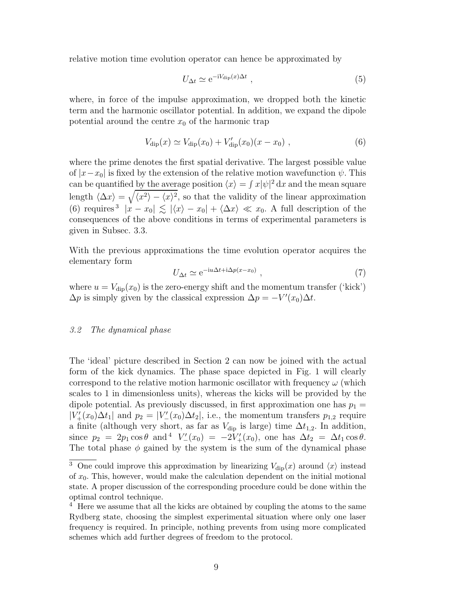relative motion time evolution operator can hence be approximated by

$$
U_{\Delta t} \simeq e^{-iV_{\text{dip}}(x)\Delta t} \;, \tag{5}
$$

where, in force of the impulse approximation, we dropped both the kinetic term and the harmonic oscillator potential. In addition, we expand the dipole potential around the centre  $x_0$  of the harmonic trap

$$
V_{\rm dip}(x) \simeq V_{\rm dip}(x_0) + V'_{\rm dip}(x_0)(x - x_0) , \qquad (6)
$$

where the prime denotes the first spatial derivative. The largest possible value of  $|x-x_0|$  is fixed by the extension of the relative motion wavefunction  $\psi$ . This can be quantified by the average position  $\langle x \rangle = \int x|\psi|^2 dx$  and the mean square length  $\langle \Delta x \rangle = \sqrt{\langle x^2 \rangle - \langle x \rangle^2}$ , so that the validity of the linear approximation (6) requires  $|x - x_0| \lesssim |\langle x \rangle - x_0| + \langle \Delta x \rangle \ll x_0$ . A full description of the consequences of the above conditions in terms of experimental parameters is given in Subsec. 3.3.

With the previous approximations the time evolution operator acquires the elementary form

$$
U_{\Delta t} \simeq e^{-iu\Delta t + i\Delta p(x - x_0)}, \qquad (7)
$$

where  $u = V_{\text{dip}}(x_0)$  is the zero-energy shift and the momentum transfer ('kick')  $\Delta p$  is simply given by the classical expression  $\Delta p = -V'(x_0)\Delta t$ .

## 3.2 The dynamical phase

The 'ideal' picture described in Section 2 can now be joined with the actual form of the kick dynamics. The phase space depicted in Fig. 1 will clearly correspond to the relative motion harmonic oscillator with frequency  $\omega$  (which scales to 1 in dimensionless units), whereas the kicks will be provided by the dipole potential. As previously discussed, in first approximation one has  $p_1 =$  $|V'_{+}(x_0)\Delta t_1|$  and  $p_2 = |V'_{-}(x_0)\Delta t_2|$ , i.e., the momentum transfers  $p_{1,2}$  require a finite (although very short, as far as  $V_{\text{dip}}$  is large) time  $\Delta t_{1,2}$ . In addition, since  $p_2 = 2p_1 \cos \theta$  and  $\frac{d}{dx} V'_{-}(x_0) = -2V'_{+}(x_0)$ , one has  $\Delta t_2 = \Delta t_1 \cos \theta$ . The total phase  $\phi$  gained by the system is the sum of the dynamical phase

<sup>&</sup>lt;sup>3</sup> One could improve this approximation by linearizing  $V_{\text{dip}}(x)$  around  $\langle x \rangle$  instead of  $x<sub>0</sub>$ . This, however, would make the calculation dependent on the initial motional state. A proper discussion of the corresponding procedure could be done within the optimal control technique.

 $4$  Here we assume that all the kicks are obtained by coupling the atoms to the same Rydberg state, choosing the simplest experimental situation where only one laser frequency is required. In principle, nothing prevents from using more complicated schemes which add further degrees of freedom to the protocol.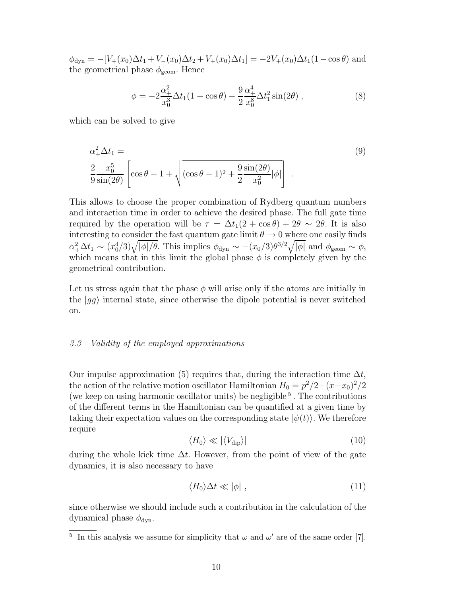$\phi_{\text{dyn}} = -[V_{+}(x_0)\Delta t_1 + V_{-}(x_0)\Delta t_2 + V_{+}(x_0)\Delta t_1] = -2V_{+}(x_0)\Delta t_1(1-\cos\theta)$  and the geometrical phase  $\phi_{\text{geom}}$ . Hence

$$
\phi = -2\frac{\alpha_+^2}{x_0^3} \Delta t_1 (1 - \cos \theta) - \frac{9}{2} \frac{\alpha_+^4}{x_0^8} \Delta t_1^2 \sin(2\theta) , \qquad (8)
$$

which can be solved to give

$$
\alpha_+^2 \Delta t_1 =
$$
\n
$$
\frac{2}{9} \frac{x_0^5}{\sin(2\theta)} \left[ \cos \theta - 1 + \sqrt{(\cos \theta - 1)^2 + \frac{9}{2} \frac{\sin(2\theta)}{x_0^2} |\phi|} \right].
$$
\n(9)

This allows to choose the proper combination of Rydberg quantum numbers and interaction time in order to achieve the desired phase. The full gate time required by the operation will be  $\tau = \Delta t_1(2 + \cos \theta) + 2\theta \sim 2\theta$ . It is also interesting to consider the fast quantum gate limit  $\theta \to 0$  where one easily finds  $\alpha_+^2 \Delta t_1 \sim (x_0^4/3)\sqrt{|\phi|/\theta}$ . This implies  $\phi_{\text{dyn}} \sim -(x_0/3)\theta^{3/2}\sqrt{|\phi|}$  and  $\phi_{\text{geom}} \sim \phi$ , which means that in this limit the global phase  $\phi$  is completely given by the geometrical contribution.

Let us stress again that the phase  $\phi$  will arise only if the atoms are initially in the  $|q\eta\rangle$  internal state, since otherwise the dipole potential is never switched on.

## 3.3 Validity of the employed approximations

Our impulse approximation (5) requires that, during the interaction time  $\Delta t$ , the action of the relative motion oscillator Hamiltonian  $H_0 = p^2/2 + (x-x_0)^2/2$ (we keep on using harmonic oscillator units) be negligible  $5$ . The contributions of the different terms in the Hamiltonian can be quantified at a given time by taking their expectation values on the corresponding state  $|\psi(t)\rangle$ . We therefore require

$$
\langle H_0 \rangle \ll |\langle V_{\text{dip}} \rangle| \tag{10}
$$

during the whole kick time  $\Delta t$ . However, from the point of view of the gate dynamics, it is also necessary to have

$$
\langle H_0 \rangle \Delta t \ll |\phi| \tag{11}
$$

since otherwise we should include such a contribution in the calculation of the dynamical phase  $\phi_{\text{dyn}}$ .

<sup>&</sup>lt;sup>5</sup> In this analysis we assume for simplicity that  $\omega$  and  $\omega'$  are of the same order [7].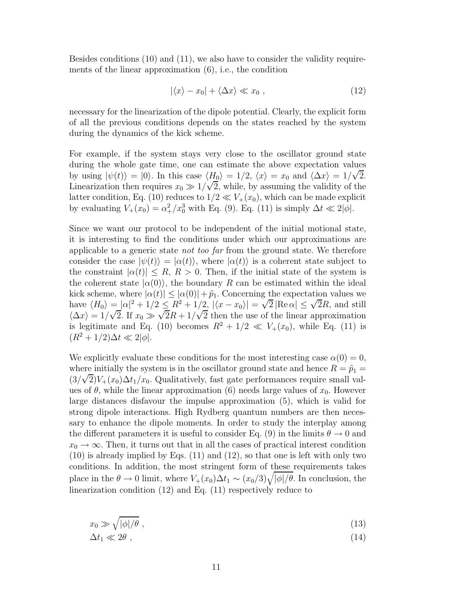Besides conditions (10) and (11), we also have to consider the validity requirements of the linear approximation (6), i.e., the condition

$$
|\langle x \rangle - x_0| + \langle \Delta x \rangle \ll x_0 , \qquad (12)
$$

necessary for the linearization of the dipole potential. Clearly, the explicit form of all the previous conditions depends on the states reached by the system during the dynamics of the kick scheme.

For example, if the system stays very close to the oscillator ground state during the whole gate time, one can estimate the above expectation values by using  $|\psi(t)\rangle = |0\rangle$ . In this case  $\langle H_0 \rangle = 1/2$ ,  $\langle x \rangle = x_0$  and  $\langle \Delta x \rangle = 1/\sqrt{2}$ . Linearization then requires  $x_0 \gg 1/\sqrt{2}$ , while, by assuming the validity of the latter condition, Eq. (10) reduces to  $1/2 \ll V_+(x_0)$ , which can be made explicit by evaluating  $V_+(x_0) = \alpha_+^2/x_0^3$  with Eq. (9). Eq. (11) is simply  $\Delta t \ll 2|\phi|$ .

Since we want our protocol to be independent of the initial motional state, it is interesting to find the conditions under which our approximations are applicable to a generic state not too far from the ground state. We therefore consider the case  $|\psi(t)\rangle = |\alpha(t)\rangle$ , where  $|\alpha(t)\rangle$  is a coherent state subject to the constraint  $|\alpha(t)| \leq R$ ,  $R > 0$ . Then, if the initial state of the system is the coherent state  $|\alpha(0)\rangle$ , the boundary R can be estimated within the ideal kick scheme, where  $|\alpha(t)| \leq |\alpha(0)| + \tilde{p}_1$ . Concerning the expectation values we have  $\langle H_0 \rangle = |\alpha|^2 + 1/2 \le R^2 + 1/2$ ,  $|\langle x - x_0 \rangle| = \sqrt{2} |\text{Re }\alpha| \le \sqrt{2}R$ , and still  $\langle \Delta x \rangle = 1/\sqrt{2}$ . If  $x_0 \gg \sqrt{2}R + 1/\sqrt{2}$  then the use of the linear approximation is legitimate and Eq. (10) becomes  $R^2 + 1/2 \ll V_+(x_0)$ , while Eq. (11) is  $(R^2 + 1/2)\Delta t \ll 2|\phi|.$ 

We explicitly evaluate these conditions for the most interesting case  $\alpha(0) = 0$ , where initially the system is in the oscillator ground state and hence  $R = \tilde{p}_1$  =  $(3/\sqrt{2})V_{+}(x_0)\Delta t_1/x_0$ . Qualitatively, fast gate performances require small values of  $\theta$ , while the linear approximation (6) needs large values of  $x_0$ . However large distances disfavour the impulse approximation (5), which is valid for strong dipole interactions. High Rydberg quantum numbers are then necessary to enhance the dipole moments. In order to study the interplay among the different parameters it is useful to consider Eq. (9) in the limits  $\theta \to 0$  and  $x_0 \rightarrow \infty$ . Then, it turns out that in all the cases of practical interest condition  $(10)$  is already implied by Eqs.  $(11)$  and  $(12)$ , so that one is left with only two conditions. In addition, the most stringent form of these requirements takes place in the  $\theta \to 0$  limit, where  $V_+(x_0)\Delta t_1 \sim (x_0/3)\sqrt{|\phi|/\theta}$ . In conclusion, the linearization condition (12) and Eq. (11) respectively reduce to

$$
x_0 \gg \sqrt{|\phi|/\theta} \tag{13}
$$

$$
\Delta t_1 \ll 2\theta \tag{14}
$$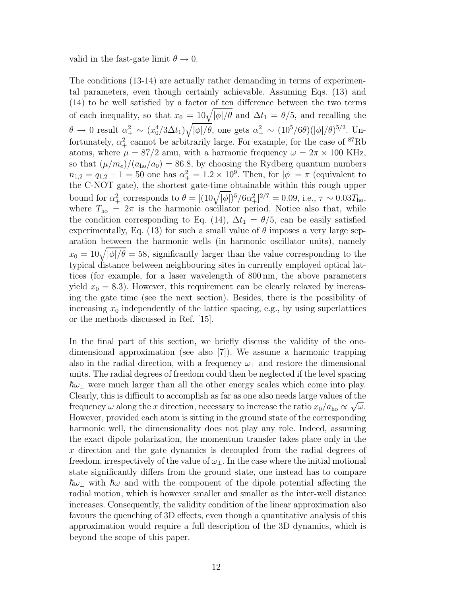#### valid in the fast-gate limit  $\theta \rightarrow 0$ .

The conditions (13-14) are actually rather demanding in terms of experimental parameters, even though certainly achievable. Assuming Eqs. (13) and (14) to be well satisfied by a factor of ten difference between the two terms of each inequality, so that  $x_0 = 10\sqrt{|\phi|/\theta}$  and  $\Delta t_1 = \theta/5$ , and recalling the  $\theta \to 0$  result  $\alpha_+^2 \sim (x_0^4/3\Delta t_1)\sqrt{|\phi|/\theta}$ , one gets  $\alpha_+^2 \sim (10^5/6\theta)(|\phi|/\theta)^{5/2}$ . Unfortunately,  $\alpha_+^2$  cannot be arbitrarily large. For example, for the case of <sup>87</sup>Rb atoms, where  $\mu = 87/2$  amu, with a harmonic frequency  $\omega = 2\pi \times 100$  KHz, so that  $(\mu/m_e)/(a_{\text{ho}}/a_0) = 86.8$ , by choosing the Rydberg quantum numbers  $n_{1,2} = q_{1,2} + 1 = 50$  one has  $\alpha_+^2 = 1.2 \times 10^9$ . Then, for  $|\phi| = \pi$  (equivalent to the C-NOT gate), the shortest gate-time obtainable within this rough upper bound for  $\alpha_+^2$  corresponds to  $\theta = [(10\sqrt{|\phi|})^5/6\alpha_+^2]^{2/7} = 0.09$ , i.e.,  $\tau \sim 0.03T_{\text{ho}}$ , where  $T_{\text{ho}} = 2\pi$  is the harmonic oscillator period. Notice also that, while the condition corresponding to Eq. (14),  $\Delta t_1 = \theta/5$ , can be easily satisfied experimentally, Eq. (13) for such a small value of  $\theta$  imposes a very large separation between the harmonic wells (in harmonic oscillator units), namely  $x_0 = 10\sqrt{|\phi|/\theta} = 58$ , significantly larger than the value corresponding to the typical distance between neighbouring sites in currently employed optical lattices (for example, for a laser wavelength of 800 nm, the above parameters yield  $x_0 = 8.3$ ). However, this requirement can be clearly relaxed by increasing the gate time (see the next section). Besides, there is the possibility of increasing  $x_0$  independently of the lattice spacing, e.g., by using superlattices or the methods discussed in Ref. [15].

In the final part of this section, we briefly discuss the validity of the onedimensional approximation (see also [7]). We assume a harmonic trapping also in the radial direction, with a frequency  $\omega_{\perp}$  and restore the dimensional units. The radial degrees of freedom could then be neglected if the level spacing  $\hbar\omega_1$  were much larger than all the other energy scales which come into play. Clearly, this is difficult to accomplish as far as one also needs large values of the frequency  $\omega$  along the x direction, necessary to increase the ratio  $x_0/a_{\text{ho}} \propto \sqrt{\omega}$ . However, provided each atom is sitting in the ground state of the corresponding harmonic well, the dimensionality does not play any role. Indeed, assuming the exact dipole polarization, the momentum transfer takes place only in the x direction and the gate dynamics is decoupled from the radial degrees of freedom, irrespectively of the value of  $\omega_{\perp}$ . In the case where the initial motional state significantly differs from the ground state, one instead has to compare  $\hbar\omega_{\perp}$  with  $\hbar\omega$  and with the component of the dipole potential affecting the radial motion, which is however smaller and smaller as the inter-well distance increases. Consequently, the validity condition of the linear approximation also favours the quenching of 3D effects, even though a quantitative analysis of this approximation would require a full description of the 3D dynamics, which is beyond the scope of this paper.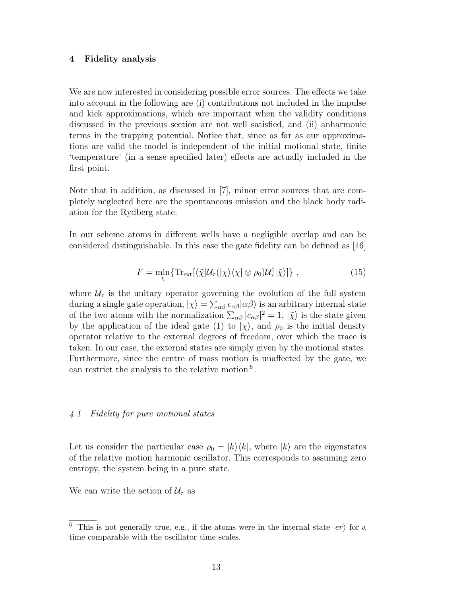#### 4 Fidelity analysis

We are now interested in considering possible error sources. The effects we take into account in the following are (i) contributions not included in the impulse and kick approximations, which are important when the validity conditions discussed in the previous section are not well satisfied, and (ii) anharmonic terms in the trapping potential. Notice that, since as far as our approximations are valid the model is independent of the initial motional state, finite 'temperature' (in a sense specified later) effects are actually included in the first point.

Note that in addition, as discussed in [7], minor error sources that are completely neglected here are the spontaneous emission and the black body radiation for the Rydberg state.

In our scheme atoms in different wells have a negligible overlap and can be considered distinguishable. In this case the gate fidelity can be defined as [16]

$$
F = \min_{\chi} \{ \text{Tr}_{\text{ext}} [\langle \tilde{\chi} | \mathcal{U}_{\tau}(|\chi\rangle\langle\chi| \otimes \rho_0) \mathcal{U}_{\tau}^{\dagger} | \tilde{\chi} \rangle] \}, \qquad (15)
$$

where  $\mathcal{U}_{\tau}$  is the unitary operator governing the evolution of the full system during a single gate operation,  $|\chi\rangle = \sum_{\alpha\beta} c_{\alpha\beta} |\alpha\beta\rangle$  is an arbitrary internal state of the two atoms with the normalization  $\sum_{\alpha\beta} |c_{\alpha\beta}|^2 = 1$ ,  $|\tilde{\chi}\rangle$  is the state given by the application of the ideal gate (1) to  $|\chi\rangle$ , and  $\rho_0$  is the initial density operator relative to the external degrees of freedom, over which the trace is taken. In our case, the external states are simply given by the motional states. Furthermore, since the centre of mass motion is unaffected by the gate, we can restrict the analysis to the relative motion  $6$ .

## 4.1 Fidelity for pure motional states

Let us consider the particular case  $\rho_0 = |k\rangle\langle k|$ , where  $|k\rangle$  are the eigenstates of the relative motion harmonic oscillator. This corresponds to assuming zero entropy, the system being in a pure state.

We can write the action of  $\mathcal{U}_{\tau}$  as

 $\overline{6}$  This is not generally true, e.g., if the atoms were in the internal state  $|er\rangle$  for a time comparable with the oscillator time scales.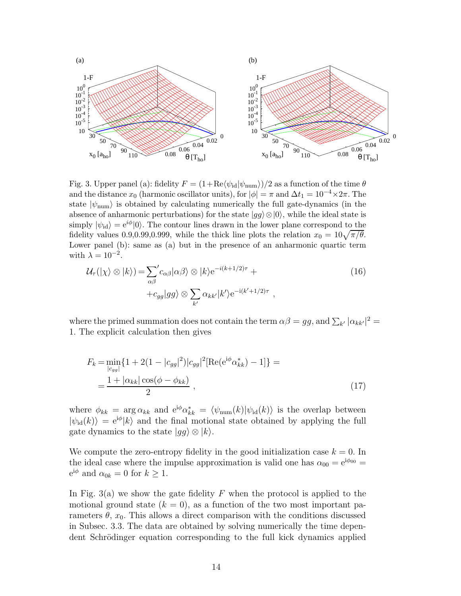

Fig. 3. Upper panel (a): fidelity  $F = (1+Re\langle \psi_{\text{id}}|\psi_{\text{num}}\rangle)/2$  as a function of the time  $\theta$ and the distance  $x_0$  (harmonic oscillator units), for  $|\phi| = \pi$  and  $\Delta t_1 = 10^{-4} \times 2\pi$ . The state  $|\psi_{\text{num}}\rangle$  is obtained by calculating numerically the full gate-dynamics (in the absence of anharmonic perturbations) for the state  $|gg\rangle \otimes |0\rangle$ , while the ideal state is simply  $|\psi_{\rm id}\rangle = e^{i\phi}|0\rangle$ . The contour lines drawn in the lower plane correspond to the fidelity values 0.9,0.99,0.999, while the thick line plots the relation  $x_0 = 10\sqrt{\pi/\theta}$ . Lower panel (b): same as (a) but in the presence of an anharmonic quartic term with  $\lambda = 10^{-2}$ .

$$
\mathcal{U}_{\tau}(|\chi\rangle \otimes |k\rangle) = \sum_{\alpha\beta} c_{\alpha\beta} |\alpha\beta\rangle \otimes |k\rangle e^{-i(k+1/2)\tau} +
$$
  
 
$$
+ c_{gg}|gg\rangle \otimes \sum_{k'} \alpha_{kk'} |k'\rangle e^{-i(k'+1/2)\tau} ,
$$
 (16)

where the primed summation does not contain the term  $\alpha\beta = gg$ , and  $\sum_{k'} |\alpha_{kk'}|^2 =$ 1. The explicit calculation then gives

$$
F_k = \min_{|c_{gg}|} \{ 1 + 2(1 - |c_{gg}|^2) |c_{gg}|^2 [\text{Re}(e^{i\phi}\alpha_{kk}^*) - 1] \} =
$$
  
= 
$$
\frac{1 + |\alpha_{kk}| \cos(\phi - \phi_{kk})}{2},
$$
 (17)

where  $\phi_{kk} = \arg \alpha_{kk}$  and  $e^{i\phi} \alpha_{kk}^* = \langle \psi_{\text{num}}(k) | \psi_{\text{id}}(k) \rangle$  is the overlap between  $|\psi_{\text{id}}(k)\rangle = e^{i\phi}|k\rangle$  and the final motional state obtained by applying the full gate dynamics to the state  $|gg\rangle \otimes |k\rangle$ .

We compute the zero-entropy fidelity in the good initialization case  $k = 0$ . In the ideal case where the impulse approximation is valid one has  $\alpha_{00} = e^{i\phi_{00}} =$  $e^{i\phi}$  and  $\alpha_{0k} = 0$  for  $k \geq 1$ .

In Fig. 3(a) we show the gate fidelity F when the protocol is applied to the motional ground state  $(k = 0)$ , as a function of the two most important parameters  $\theta$ ,  $x_0$ . This allows a direct comparison with the conditions discussed in Subsec. 3.3. The data are obtained by solving numerically the time dependent Schrödinger equation corresponding to the full kick dynamics applied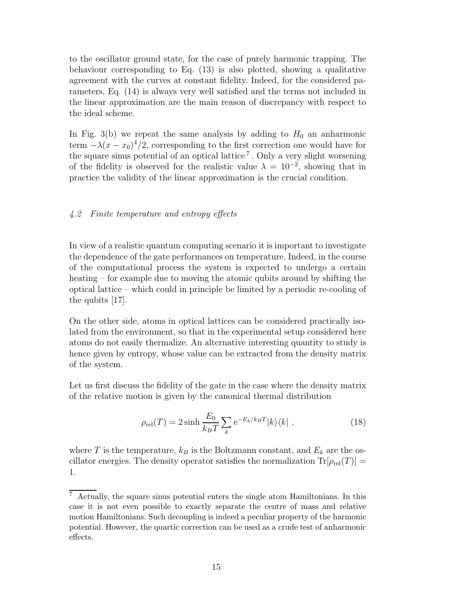to the oscillator ground state, for the case of purely harmonic trapping. The behaviour corresponding to Eq. (13) is also plotted, showing a qualitative agreement with the curves at constant fidelity. Indeed, for the considered parameters, Eq. (14) is always very well satisfied and the terms not included in the linear approximation are the main reason of discrepancy with respect to the ideal scheme.

In Fig. 3(b) we repeat the same analysis by adding to  $H_0$  an anharmonic term  $-\lambda(x-x_0)^4/2$ , corresponding to the first correction one would have for the square sinus potential of an optical lattice <sup>7</sup> . Only a very slight worsening of the fidelity is observed for the realistic value  $\lambda = 10^{-2}$ , showing that in practice the validity of the linear approximation is the crucial condition.

## 4.2 Finite temperature and entropy effects

In view of a realistic quantum computing scenario it is important to investigate the dependence of the gate performances on temperature. Indeed, in the course of the computational process the system is expected to undergo a certain heating – for example due to moving the atomic qubits around by shifting the optical lattice – which could in principle be limited by a periodic re-cooling of the qubits [17].

On the other side, atoms in optical lattices can be considered practically isolated from the environment, so that in the experimental setup considered here atoms do not easily thermalize. An alternative interesting quantity to study is hence given by entropy, whose value can be extracted from the density matrix of the system.

Let us first discuss the fidelity of the gate in the case where the density matrix of the relative motion is given by the canonical thermal distribution

$$
\rho_{\rm rel}(T) = 2 \sinh \frac{E_0}{k_B T} \sum_k e^{-E_k/k_B T} |k\rangle\langle k| \;, \tag{18}
$$

where T is the temperature,  $k_B$  is the Boltzmann constant, and  $E_k$  are the oscillator energies. The density operator satisfies the normalization  $\text{Tr}[\rho_{rel}(T)] =$ 1.

<sup>7</sup> Actually, the square sinus potential enters the single atom Hamiltonians. In this case it is not even possible to exactly separate the centre of mass and relative motion Hamiltonians. Such decoupling is indeed a peculiar property of the harmonic potential. However, the quartic correction can be used as a crude test of anharmonic effects.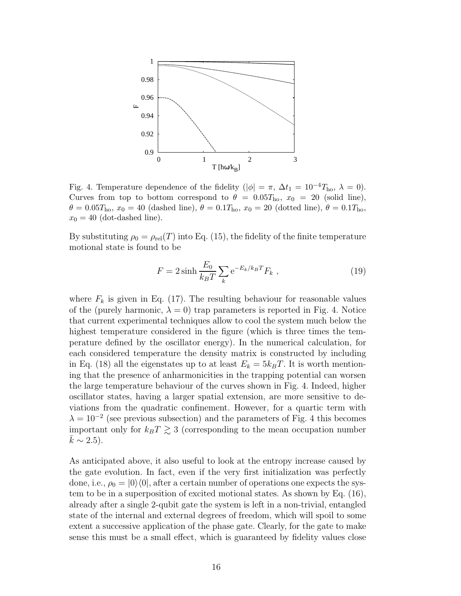

Fig. 4. Temperature dependence of the fidelity ( $|\phi| = \pi$ ,  $\Delta t_1 = 10^{-4}T_{\text{ho}}$ ,  $\lambda = 0$ ). Curves from top to bottom correspond to  $\theta = 0.05T_{\text{ho}}$ ,  $x_0 = 20$  (solid line),  $\theta = 0.05T_{\text{ho}}$ ,  $x_0 = 40$  (dashed line),  $\theta = 0.1T_{\text{ho}}$ ,  $x_0 = 20$  (dotted line),  $\theta = 0.1T_{\text{ho}}$ ,  $x_0 = 40$  (dot-dashed line).

By substituting  $\rho_0 = \rho_{rel}(T)$  into Eq. (15), the fidelity of the finite temperature motional state is found to be

$$
F = 2\sinh\frac{E_0}{k_B T} \sum_k e^{-E_k/k_B T} F_k \t\t(19)
$$

where  $F_k$  is given in Eq. (17). The resulting behaviour for reasonable values of the (purely harmonic,  $\lambda = 0$ ) trap parameters is reported in Fig. 4. Notice that current experimental techniques allow to cool the system much below the highest temperature considered in the figure (which is three times the temperature defined by the oscillator energy). In the numerical calculation, for each considered temperature the density matrix is constructed by including in Eq. (18) all the eigenstates up to at least  $E_k = 5k_BT$ . It is worth mentioning that the presence of anharmonicities in the trapping potential can worsen the large temperature behaviour of the curves shown in Fig. 4. Indeed, higher oscillator states, having a larger spatial extension, are more sensitive to deviations from the quadratic confinement. However, for a quartic term with  $\lambda = 10^{-2}$  (see previous subsection) and the parameters of Fig. 4 this becomes important only for  $k_BT \gtrsim 3$  (corresponding to the mean occupation number  $k \sim 2.5$ ).

As anticipated above, it also useful to look at the entropy increase caused by the gate evolution. In fact, even if the very first initialization was perfectly done, i.e.,  $\rho_0 = |0\rangle\langle 0|$ , after a certain number of operations one expects the system to be in a superposition of excited motional states. As shown by Eq. (16), already after a single 2-qubit gate the system is left in a non-trivial, entangled state of the internal and external degrees of freedom, which will spoil to some extent a successive application of the phase gate. Clearly, for the gate to make sense this must be a small effect, which is guaranteed by fidelity values close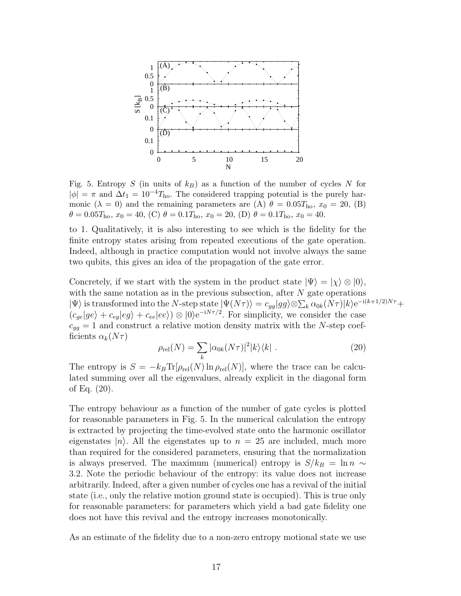

Fig. 5. Entropy S (in units of  $k_B$ ) as a function of the number of cycles N for  $|\phi| = \pi$  and  $\Delta t_1 = 10^{-4}T_{\text{ho}}$ . The considered trapping potential is the purely harmonic ( $\lambda = 0$ ) and the remaining parameters are (A)  $\theta = 0.05T_{\text{ho}}$ ,  $x_0 = 20$ , (B)  $\theta = 0.05T_{\text{ho}}, x_0 = 40$ , (C)  $\theta = 0.1T_{\text{ho}}, x_0 = 20$ , (D)  $\theta = 0.1T_{\text{ho}}, x_0 = 40$ .

to 1. Qualitatively, it is also interesting to see which is the fidelity for the finite entropy states arising from repeated executions of the gate operation. Indeed, although in practice computation would not involve always the same two qubits, this gives an idea of the propagation of the gate error.

Concretely, if we start with the system in the product state  $|\Psi\rangle = |\chi\rangle \otimes |0\rangle$ , with the same notation as in the previous subsection, after  $N$  gate operations  $|\Psi\rangle$  is transformed into the N-step state  $|\Psi(N\tau)\rangle = c_{gg}|gg\rangle \otimes \sum_k \alpha_{0k}(N\tau)|k\rangle e^{-i(k+1/2)N\tau} +$  $(c_{ge}|ge\rangle + c_{eg}|eg\rangle + c_{ee}|ee\rangle) \otimes |0\rangle e^{-iN\tau/2}$ . For simplicity, we consider the case  $c_{gg} = 1$  and construct a relative motion density matrix with the N-step coefficients  $\alpha_k(N\tau)$ 

$$
\rho_{\rm rel}(N) = \sum_{k} |\alpha_{0k}(N\tau)|^2 |k\rangle\langle k| \ . \tag{20}
$$

The entropy is  $S = -k_B \text{Tr}[\rho_{rel}(N) \ln \rho_{rel}(N)]$ , where the trace can be calculated summing over all the eigenvalues, already explicit in the diagonal form of Eq. (20).

The entropy behaviour as a function of the number of gate cycles is plotted for reasonable parameters in Fig. 5. In the numerical calculation the entropy is extracted by projecting the time-evolved state onto the harmonic oscillator eigenstates  $|n\rangle$ . All the eigenstates up to  $n = 25$  are included, much more than required for the considered parameters, ensuring that the normalization is always preserved. The maximum (numerical) entropy is  $S/k_B = \ln n \sim$ 3.2. Note the periodic behaviour of the entropy: its value does not increase arbitrarily. Indeed, after a given number of cycles one has a revival of the initial state (i.e., only the relative motion ground state is occupied). This is true only for reasonable parameters: for parameters which yield a bad gate fidelity one does not have this revival and the entropy increases monotonically.

As an estimate of the fidelity due to a non-zero entropy motional state we use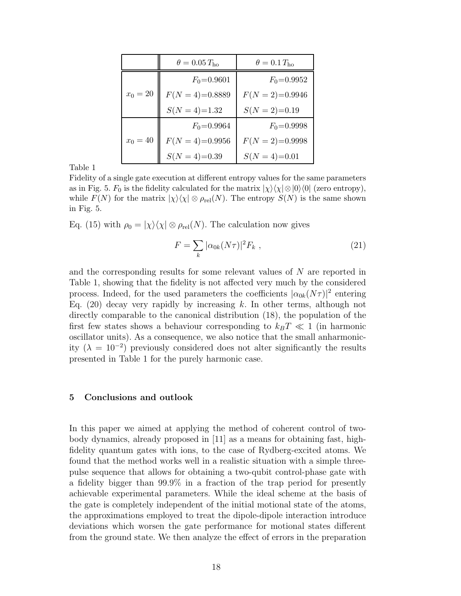|            | $\theta = 0.05 T_{\text{ho}}$ | $\theta = 0.1 T_{\text{ho}}$ |
|------------|-------------------------------|------------------------------|
|            | $F_0 = 0.9601$                | $F_0 = 0.9952$               |
| $x_0 = 20$ | $F(N = 4) = 0.8889$           | $F(N = 2) = 0.9946$          |
|            | $S(N = 4) = 1.32$             | $S(N = 2) = 0.19$            |
|            | $F_0 = 0.9964$                | $F_0 = 0.9998$               |
| $x_0 = 40$ | $F(N = 4) = 0.9956$           | $F(N = 2) = 0.9998$          |
|            | $S(N = 4) = 0.39$             | $S(N = 4) = 0.01$            |

Table 1

Fidelity of a single gate execution at different entropy values for the same parameters as in Fig. 5.  $F_0$  is the fidelity calculated for the matrix  $|\chi\rangle\langle\chi|\otimes|0\rangle\langle0|$  (zero entropy), while  $F(N)$  for the matrix  $|\chi\rangle\langle\chi| \otimes \rho_{rel}(N)$ . The entropy  $S(N)$  is the same shown in Fig. 5.

Eq. (15) with  $\rho_0 = |\chi\rangle\langle\chi| \otimes \rho_{rel}(N)$ . The calculation now gives

$$
F = \sum_{k} |\alpha_{0k}(N\tau)|^2 F_k , \qquad (21)
$$

and the corresponding results for some relevant values of N are reported in Table 1, showing that the fidelity is not affected very much by the considered process. Indeed, for the used parameters the coefficients  $|\alpha_{0k}(N\tau)|^2$  entering Eq.  $(20)$  decay very rapidly by increasing k. In other terms, although not directly comparable to the canonical distribution (18), the population of the first few states shows a behaviour corresponding to  $k_B T \ll 1$  (in harmonic oscillator units). As a consequence, we also notice that the small anharmonicity  $(\lambda = 10^{-2})$  previously considered does not alter significantly the results presented in Table 1 for the purely harmonic case.

#### 5 Conclusions and outlook

In this paper we aimed at applying the method of coherent control of twobody dynamics, already proposed in [11] as a means for obtaining fast, highfidelity quantum gates with ions, to the case of Rydberg-excited atoms. We found that the method works well in a realistic situation with a simple threepulse sequence that allows for obtaining a two-qubit control-phase gate with a fidelity bigger than 99.9% in a fraction of the trap period for presently achievable experimental parameters. While the ideal scheme at the basis of the gate is completely independent of the initial motional state of the atoms, the approximations employed to treat the dipole-dipole interaction introduce deviations which worsen the gate performance for motional states different from the ground state. We then analyze the effect of errors in the preparation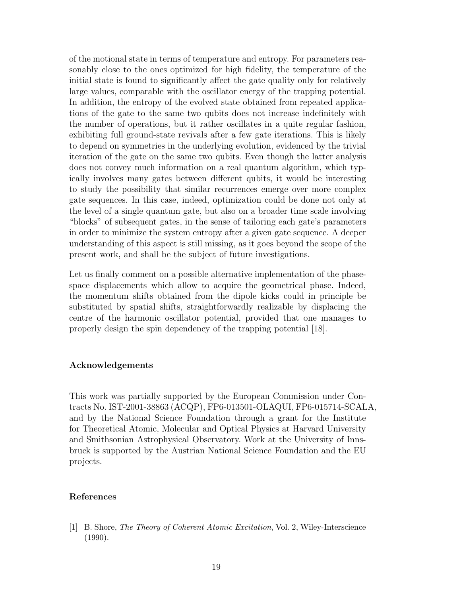of the motional state in terms of temperature and entropy. For parameters reasonably close to the ones optimized for high fidelity, the temperature of the initial state is found to significantly affect the gate quality only for relatively large values, comparable with the oscillator energy of the trapping potential. In addition, the entropy of the evolved state obtained from repeated applications of the gate to the same two qubits does not increase indefinitely with the number of operations, but it rather oscillates in a quite regular fashion, exhibiting full ground-state revivals after a few gate iterations. This is likely to depend on symmetries in the underlying evolution, evidenced by the trivial iteration of the gate on the same two qubits. Even though the latter analysis does not convey much information on a real quantum algorithm, which typically involves many gates between different qubits, it would be interesting to study the possibility that similar recurrences emerge over more complex gate sequences. In this case, indeed, optimization could be done not only at the level of a single quantum gate, but also on a broader time scale involving "blocks" of subsequent gates, in the sense of tailoring each gate's parameters in order to minimize the system entropy after a given gate sequence. A deeper understanding of this aspect is still missing, as it goes beyond the scope of the present work, and shall be the subject of future investigations.

Let us finally comment on a possible alternative implementation of the phasespace displacements which allow to acquire the geometrical phase. Indeed, the momentum shifts obtained from the dipole kicks could in principle be substituted by spatial shifts, straightforwardly realizable by displacing the centre of the harmonic oscillator potential, provided that one manages to properly design the spin dependency of the trapping potential [18].

# Acknowledgements

This work was partially supported by the European Commission under Contracts No. IST-2001-38863 (ACQP), FP6-013501-OLAQUI, FP6-015714-SCALA, and by the National Science Foundation through a grant for the Institute for Theoretical Atomic, Molecular and Optical Physics at Harvard University and Smithsonian Astrophysical Observatory. Work at the University of Innsbruck is supported by the Austrian National Science Foundation and the EU projects.

# References

[1] B. Shore, The Theory of Coherent Atomic Excitation, Vol. 2, Wiley-Interscience (1990).